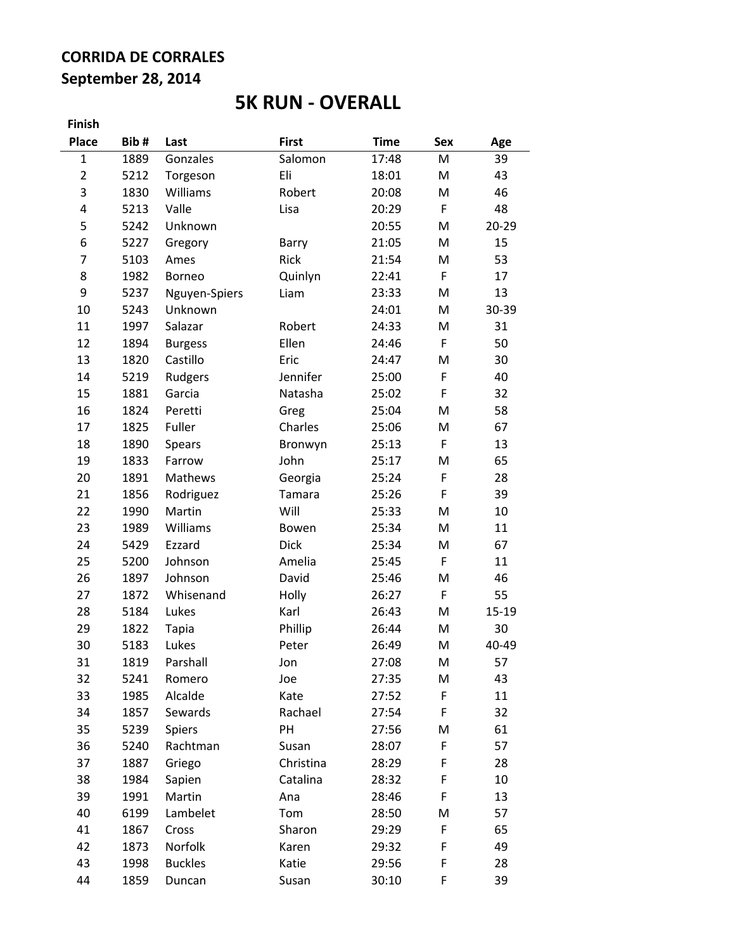## **CORRIDA DE CORRALES September 28, 2014**

# **5K RUN - OVERALL**

**Finish**

| <b>Place</b>   | Bib# | Last           | <b>First</b> | <b>Time</b> | <b>Sex</b>  | Age       |
|----------------|------|----------------|--------------|-------------|-------------|-----------|
| $\mathbf 1$    | 1889 | Gonzales       | Salomon      | 17:48       | M           | 39        |
| $\overline{2}$ | 5212 | Torgeson       | Eli          | 18:01       | M           | 43        |
| 3              | 1830 | Williams       | Robert       | 20:08       | M           | 46        |
| 4              | 5213 | Valle          | Lisa         | 20:29       | F           | 48        |
| 5              | 5242 | Unknown        |              | 20:55       | M           | $20 - 29$ |
| 6              | 5227 | Gregory        | Barry        | 21:05       | M           | 15        |
| 7              | 5103 | Ames           | Rick         | 21:54       | M           | 53        |
| 8              | 1982 | Borneo         | Quinlyn      | 22:41       | F           | 17        |
| 9              | 5237 | Nguyen-Spiers  | Liam         | 23:33       | M           | 13        |
| 10             | 5243 | Unknown        |              | 24:01       | M           | 30-39     |
| 11             | 1997 | Salazar        | Robert       | 24:33       | M           | 31        |
| 12             | 1894 | <b>Burgess</b> | Ellen        | 24:46       | $\mathsf F$ | 50        |
| 13             | 1820 | Castillo       | Eric         | 24:47       | M           | 30        |
| 14             | 5219 | Rudgers        | Jennifer     | 25:00       | F           | 40        |
| 15             | 1881 | Garcia         | Natasha      | 25:02       | $\mathsf F$ | 32        |
| 16             | 1824 | Peretti        | Greg         | 25:04       | M           | 58        |
| 17             | 1825 | Fuller         | Charles      | 25:06       | M           | 67        |
| 18             | 1890 | <b>Spears</b>  | Bronwyn      | 25:13       | $\mathsf F$ | 13        |
| 19             | 1833 | Farrow         | John         | 25:17       | M           | 65        |
| 20             | 1891 | Mathews        | Georgia      | 25:24       | F           | 28        |
| 21             | 1856 | Rodriguez      | Tamara       | 25:26       | F           | 39        |
| 22             | 1990 | Martin         | Will         | 25:33       | M           | 10        |
| 23             | 1989 | Williams       | Bowen        | 25:34       | M           | 11        |
| 24             | 5429 | Ezzard         | <b>Dick</b>  | 25:34       | M           | 67        |
| 25             | 5200 | Johnson        | Amelia       | 25:45       | F           | 11        |
| 26             | 1897 | Johnson        | David        | 25:46       | M           | 46        |
| 27             | 1872 | Whisenand      | Holly        | 26:27       | F           | 55        |
| 28             | 5184 | Lukes          | Karl         | 26:43       | M           | 15-19     |
| 29             | 1822 | <b>Tapia</b>   | Phillip      | 26:44       | M           | 30        |
| 30             | 5183 | Lukes          | Peter        | 26:49       | M           | 40-49     |
| 31             | 1819 | Parshall       | Jon          | 27:08       | M           | 57        |
| 32             | 5241 | Romero         | Joe          | 27:35       | M           | 43        |
| 33             | 1985 | Alcalde        | Kate         | 27:52       | F           | 11        |
| 34             | 1857 | Sewards        | Rachael      | 27:54       | F           | 32        |
| 35             | 5239 | Spiers         | PH           | 27:56       | M           | 61        |
| 36             | 5240 | Rachtman       | Susan        | 28:07       | F           | 57        |
| 37             | 1887 | Griego         | Christina    | 28:29       | F           | 28        |
| 38             | 1984 | Sapien         | Catalina     | 28:32       | F           | 10        |
| 39             | 1991 | Martin         | Ana          | 28:46       | F           | 13        |
| 40             | 6199 | Lambelet       | Tom          | 28:50       | Μ           | 57        |
| 41             | 1867 | Cross          | Sharon       | 29:29       | F           | 65        |
| 42             | 1873 | Norfolk        | Karen        | 29:32       | F           | 49        |
| 43             | 1998 | <b>Buckles</b> | Katie        | 29:56       | F           | 28        |
| 44             | 1859 | Duncan         | Susan        | 30:10       | F           | 39        |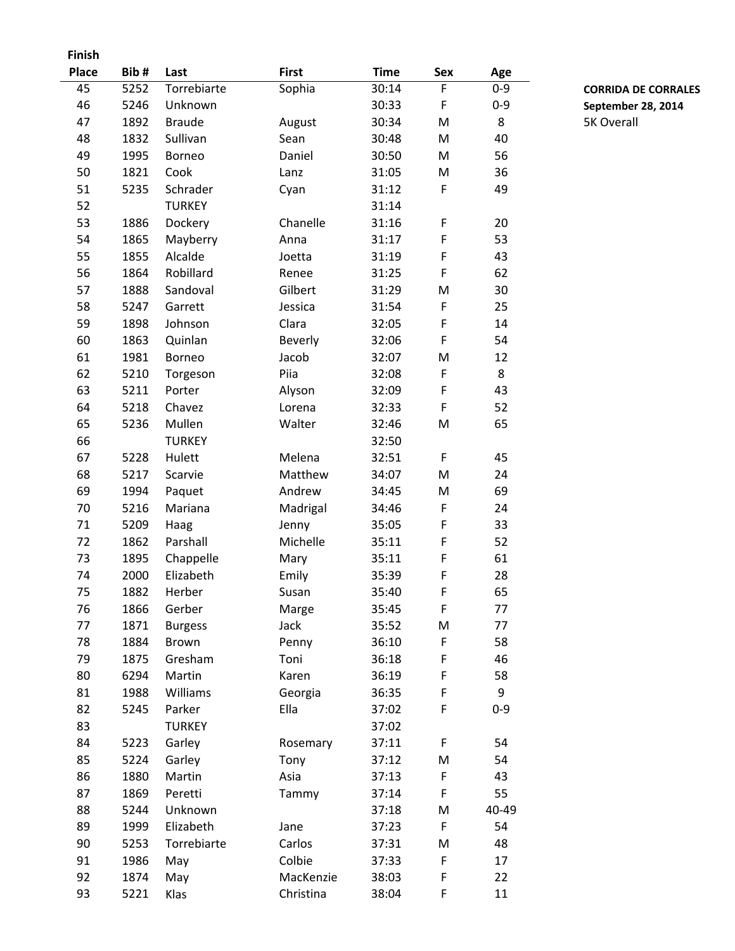**Finish**

| Place | Bib# | Last           | <b>First</b> | <b>Time</b> | Sex | Age     |
|-------|------|----------------|--------------|-------------|-----|---------|
| 45    | 5252 | Torrebiarte    | Sophia       | 30:14       | F   | $0 - 9$ |
| 46    | 5246 | Unknown        |              | 30:33       | F   | $0 - 9$ |
| 47    | 1892 | <b>Braude</b>  | August       | 30:34       | M   | 8       |
| 48    | 1832 | Sullivan       | Sean         | 30:48       | M   | 40      |
| 49    | 1995 | Borneo         | Daniel       | 30:50       | M   | 56      |
| 50    | 1821 | Cook           | Lanz         | 31:05       | M   | 36      |
| 51    | 5235 | Schrader       | Cyan         | 31:12       | F   | 49      |
| 52    |      | <b>TURKEY</b>  |              | 31:14       |     |         |
| 53    | 1886 | Dockery        | Chanelle     | 31:16       | F   | 20      |
| 54    | 1865 | Mayberry       | Anna         | 31:17       | F   | 53      |
| 55    | 1855 | Alcalde        | Joetta       | 31:19       | F   | 43      |
| 56    | 1864 | Robillard      | Renee        | 31:25       | F   | 62      |
| 57    | 1888 | Sandoval       | Gilbert      | 31:29       | M   | 30      |
| 58    | 5247 | Garrett        | Jessica      | 31:54       | F   | 25      |
| 59    | 1898 | Johnson        | Clara        | 32:05       | F   | 14      |
| 60    | 1863 | Quinlan        | Beverly      | 32:06       | F   | 54      |
| 61    | 1981 | Borneo         | Jacob        | 32:07       | M   | 12      |
| 62    | 5210 | Torgeson       | Piia         | 32:08       | F   | 8       |
| 63    | 5211 | Porter         | Alyson       | 32:09       | F   | 43      |
| 64    | 5218 | Chavez         | Lorena       | 32:33       | F   | 52      |
| 65    | 5236 | Mullen         | Walter       | 32:46       | M   | 65      |
| 66    |      | <b>TURKEY</b>  |              | 32:50       |     |         |
| 67    | 5228 | Hulett         | Melena       | 32:51       | F   | 45      |
| 68    | 5217 | Scarvie        | Matthew      | 34:07       | M   | 24      |
| 69    | 1994 | Paquet         | Andrew       | 34:45       | M   | 69      |
| 70    | 5216 | Mariana        | Madrigal     | 34:46       | F   | 24      |
| 71    | 5209 | Haag           | Jenny        | 35:05       | F   | 33      |
| 72    | 1862 | Parshall       | Michelle     | 35:11       | F   | 52      |
| 73    | 1895 | Chappelle      | Mary         | 35:11       | F   | 61      |
| 74    | 2000 | Elizabeth      | Emily        | 35:39       | F   | 28      |
| 75    | 1882 | Herber         | Susan        | 35:40       | F   | 65      |
| 76    | 1866 | Gerber         | Marge        | 35:45       | F   | 77      |
| 77    | 1871 | <b>Burgess</b> | Jack         | 35:52       | M   | 77      |
| 78    | 1884 | <b>Brown</b>   | Penny        | 36:10       | F   | 58      |
| 79    | 1875 | Gresham        | Toni         | 36:18       | F   | 46      |
| 80    | 6294 | Martin         | Karen        | 36:19       | F   | 58      |
| 81    | 1988 | Williams       | Georgia      | 36:35       | F   | 9       |
| 82    | 5245 | Parker         | Ella         | 37:02       | F   | $0 - 9$ |
| 83    |      | <b>TURKEY</b>  |              | 37:02       |     |         |
| 84    | 5223 | Garley         | Rosemary     | 37:11       | F   | 54      |
| 85    | 5224 | Garley         | Tony         | 37:12       | M   | 54      |
| 86    | 1880 | Martin         | Asia         | 37:13       | F   | 43      |
| 87    | 1869 | Peretti        | Tammy        | 37:14       | F   | 55      |
| 88    | 5244 | Unknown        |              | 37:18       | M   | 40-49   |
| 89    | 1999 | Elizabeth      | Jane         | 37:23       | F   | 54      |
| 90    | 5253 | Torrebiarte    | Carlos       | 37:31       | M   | 48      |
| 91    | 1986 | May            | Colbie       | 37:33       | F   | 17      |
| 92    | 1874 | May            | MacKenzie    | 38:03       | F   | 22      |
| 93    | 5221 | Klas           | Christina    | 38:04       | F   | 11      |
|       |      |                |              |             |     |         |

F 0-9 **CORRIDA DE CORRALES** September 28, 2014 5K Overall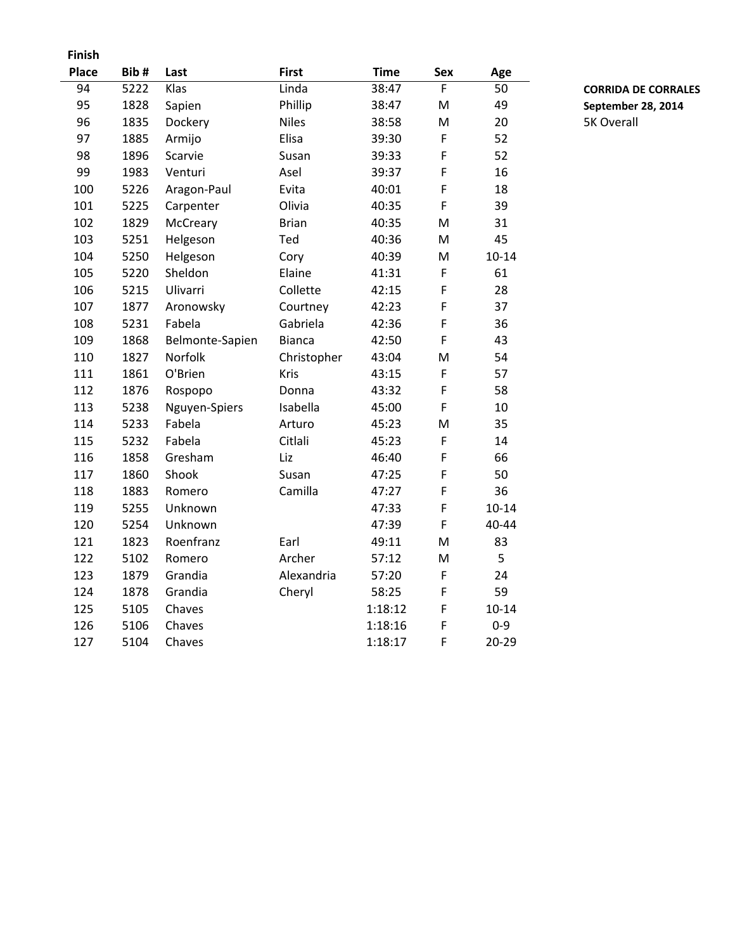| <b>Finish</b> |      |                 |               |             |             |           |                   |
|---------------|------|-----------------|---------------|-------------|-------------|-----------|-------------------|
| <b>Place</b>  | Bib# | Last            | <b>First</b>  | <b>Time</b> | <b>Sex</b>  | Age       |                   |
| 94            | 5222 | Klas            | Linda         | 38:47       | F           | 50        | <b>CORRIDA D</b>  |
| 95            | 1828 | Sapien          | Phillip       | 38:47       | M           | 49        | September         |
| 96            | 1835 | Dockery         | <b>Niles</b>  | 38:58       | M           | 20        | <b>5K Overall</b> |
| 97            | 1885 | Armijo          | Elisa         | 39:30       | $\mathsf F$ | 52        |                   |
| 98            | 1896 | Scarvie         | Susan         | 39:33       | F           | 52        |                   |
| 99            | 1983 | Venturi         | Asel          | 39:37       | F           | 16        |                   |
| 100           | 5226 | Aragon-Paul     | Evita         | 40:01       | F           | 18        |                   |
| 101           | 5225 | Carpenter       | Olivia        | 40:35       | F           | 39        |                   |
| 102           | 1829 | McCreary        | <b>Brian</b>  | 40:35       | M           | 31        |                   |
| 103           | 5251 | Helgeson        | Ted           | 40:36       | M           | 45        |                   |
| 104           | 5250 | Helgeson        | Cory          | 40:39       | ${\sf M}$   | $10 - 14$ |                   |
| 105           | 5220 | Sheldon         | Elaine        | 41:31       | F           | 61        |                   |
| 106           | 5215 | Ulivarri        | Collette      | 42:15       | F           | 28        |                   |
| 107           | 1877 | Aronowsky       | Courtney      | 42:23       | F           | 37        |                   |
| 108           | 5231 | Fabela          | Gabriela      | 42:36       | F           | 36        |                   |
| 109           | 1868 | Belmonte-Sapien | <b>Bianca</b> | 42:50       | F           | 43        |                   |
| 110           | 1827 | Norfolk         | Christopher   | 43:04       | M           | 54        |                   |
| 111           | 1861 | O'Brien         | Kris          | 43:15       | F           | 57        |                   |
| 112           | 1876 | Rospopo         | Donna         | 43:32       | F           | 58        |                   |
| 113           | 5238 | Nguyen-Spiers   | Isabella      | 45:00       | F           | 10        |                   |
| 114           | 5233 | Fabela          | Arturo        | 45:23       | M           | 35        |                   |
| 115           | 5232 | Fabela          | Citlali       | 45:23       | F           | 14        |                   |
| 116           | 1858 | Gresham         | Liz           | 46:40       | F           | 66        |                   |
| 117           | 1860 | Shook           | Susan         | 47:25       | $\mathsf F$ | 50        |                   |
| 118           | 1883 | Romero          | Camilla       | 47:27       | $\mathsf F$ | 36        |                   |
| 119           | 5255 | Unknown         |               | 47:33       | $\mathsf F$ | $10 - 14$ |                   |
| 120           | 5254 | Unknown         |               | 47:39       | F           | 40-44     |                   |
| 121           | 1823 | Roenfranz       | Earl          | 49:11       | M           | 83        |                   |
| 122           | 5102 | Romero          | Archer        | 57:12       | M           | 5         |                   |
| 123           | 1879 | Grandia         | Alexandria    | 57:20       | F           | 24        |                   |
| 124           | 1878 | Grandia         | Cheryl        | 58:25       | F           | 59        |                   |
| 125           | 5105 | Chaves          |               | 1:18:12     | F           | $10 - 14$ |                   |
| 126           | 5106 | Chaves          |               | 1:18:16     | F           | $0 - 9$   |                   |
| 127           | 5104 | Chaves          |               | 1:18:17     | F           | $20 - 29$ |                   |

94 5222 Linda 38:47 F 50 **CORRIDA DE CORRALES** 95 1828 Phillip 38:47 M 49 **September 28, 2014**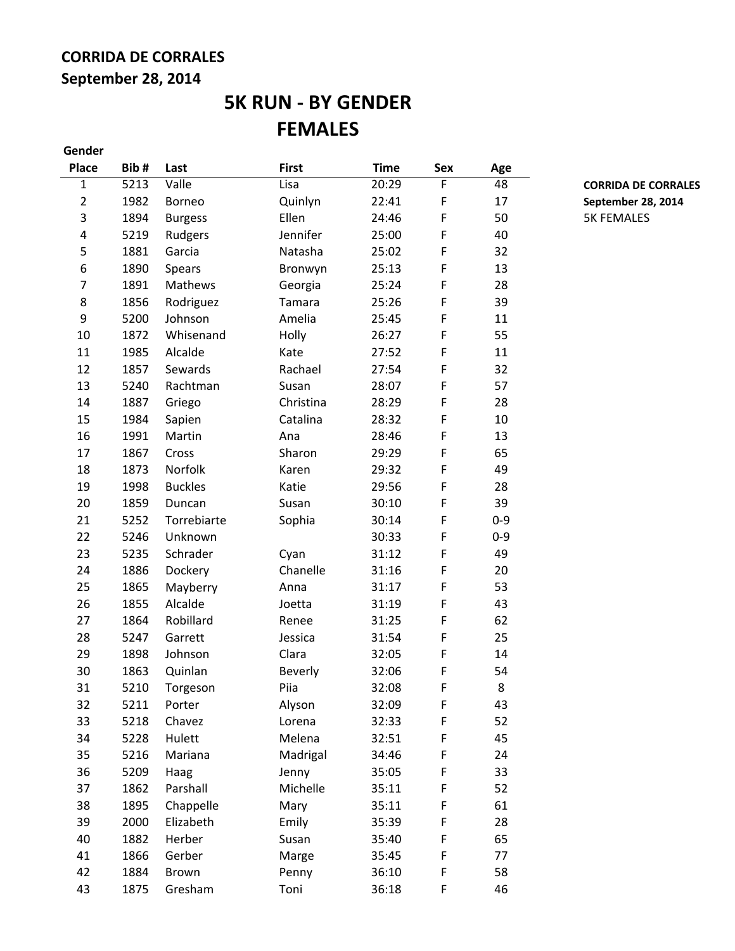## **CORRIDA DE CORRALES September 28, 2014**

# **5K RUN - BY GENDER FEMALES**

| Gender         |      |                |                |             |            |         |
|----------------|------|----------------|----------------|-------------|------------|---------|
| <b>Place</b>   | Bib# | Last           | <b>First</b>   | <b>Time</b> | <b>Sex</b> | Age     |
| 1              | 5213 | Valle          | Lisa           | 20:29       | F          | 48      |
| $\overline{2}$ | 1982 | <b>Borneo</b>  | Quinlyn        | 22:41       | F          | 17      |
| 3              | 1894 | <b>Burgess</b> | Ellen          | 24:46       | F          | 50      |
| 4              | 5219 | Rudgers        | Jennifer       | 25:00       | F          | 40      |
| 5              | 1881 | Garcia         | Natasha        | 25:02       | F          | 32      |
| 6              | 1890 | Spears         | Bronwyn        | 25:13       | F          | 13      |
| 7              | 1891 | Mathews        | Georgia        | 25:24       | F          | 28      |
| 8              | 1856 | Rodriguez      | Tamara         | 25:26       | F          | 39      |
| 9              | 5200 | Johnson        | Amelia         | 25:45       | F          | 11      |
| 10             | 1872 | Whisenand      | Holly          | 26:27       | F          | 55      |
| 11             | 1985 | Alcalde        | Kate           | 27:52       | F          | 11      |
| 12             | 1857 | Sewards        | Rachael        | 27:54       | F          | 32      |
| 13             | 5240 | Rachtman       | Susan          | 28:07       | F          | 57      |
| 14             | 1887 | Griego         | Christina      | 28:29       | F          | 28      |
| 15             | 1984 | Sapien         | Catalina       | 28:32       | F          | 10      |
| 16             | 1991 | Martin         | Ana            | 28:46       | F          | 13      |
| 17             | 1867 | Cross          | Sharon         | 29:29       | F          | 65      |
| 18             | 1873 | Norfolk        | Karen          | 29:32       | F          | 49      |
| 19             | 1998 | <b>Buckles</b> | Katie          | 29:56       | F          | 28      |
| 20             | 1859 | Duncan         | Susan          | 30:10       | F          | 39      |
| 21             | 5252 | Torrebiarte    | Sophia         | 30:14       | F          | $0 - 9$ |
| 22             | 5246 | Unknown        |                | 30:33       | F          | $0 - 9$ |
| 23             | 5235 | Schrader       | Cyan           | 31:12       | F          | 49      |
| 24             | 1886 | Dockery        | Chanelle       | 31:16       | F          | 20      |
| 25             | 1865 | Mayberry       | Anna           | 31:17       | F          | 53      |
| 26             | 1855 | Alcalde        | Joetta         | 31:19       | F          | 43      |
| 27             | 1864 | Robillard      | Renee          | 31:25       | F          | 62      |
| 28             | 5247 | Garrett        | Jessica        | 31:54       | F          | 25      |
| 29             | 1898 | Johnson        | Clara          | 32:05       | F          | 14      |
| 30             | 1863 | Quinlan        | <b>Beverly</b> | 32:06       | F          | 54      |
| 31             | 5210 | Torgeson       | Piia           | 32:08       | F          | 8       |
| 32             | 5211 | Porter         | Alyson         | 32:09       | F          | 43      |
| 33             | 5218 | Chavez         | Lorena         | 32:33       | F          | 52      |
| 34             | 5228 | Hulett         | Melena         | 32:51       | F          | 45      |
| 35             | 5216 | Mariana        | Madrigal       | 34:46       | F          | 24      |
| 36             | 5209 | Haag           | Jenny          | 35:05       | F          | 33      |
| 37             | 1862 | Parshall       | Michelle       | 35:11       | F          | 52      |
| 38             | 1895 | Chappelle      | Mary           | 35:11       | F          | 61      |
| 39             | 2000 | Elizabeth      | Emily          | 35:39       | F          | 28      |
| 40             | 1882 | Herber         | Susan          | 35:40       | F          | 65      |
| 41             | 1866 | Gerber         | Marge          | 35:45       | F          | 77      |
| 42             | 1884 | Brown          | Penny          | 36:10       | F          | 58      |
| 43             | 1875 | Gresham        | Toni           | 36:18       | F          | 46      |

1 5213 Lisa 20:29 F 48 **CORRIDA DE CORRALES** September 28, 2014 5K FEMALES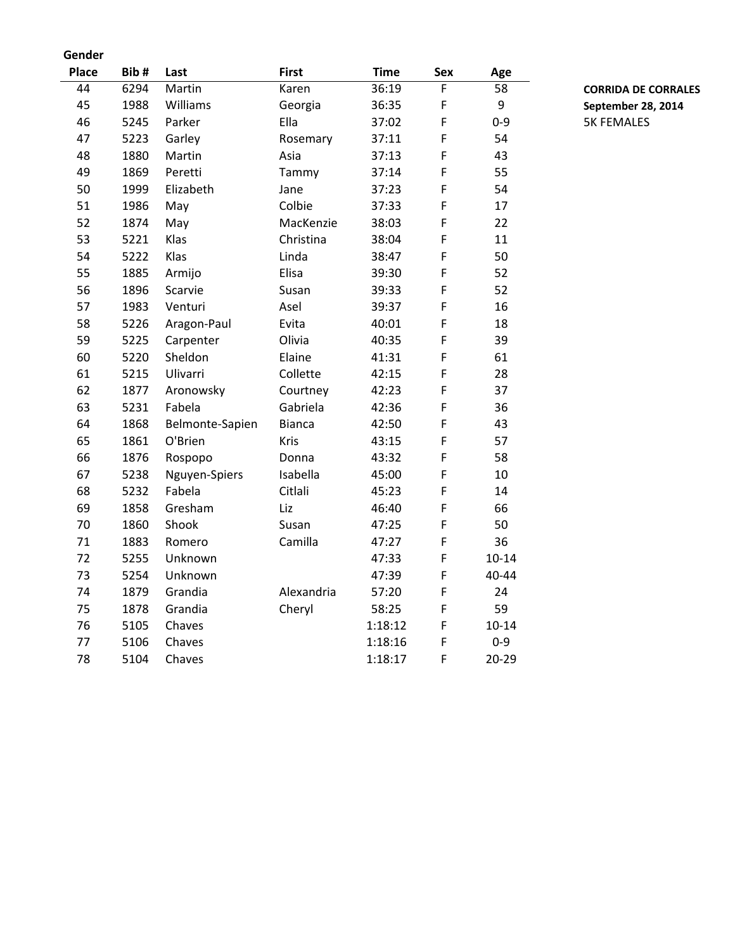### **Gender**

| <b>Place</b> | Bib# | Last            | <b>First</b>  | <b>Time</b> | <b>Sex</b> | Age       |
|--------------|------|-----------------|---------------|-------------|------------|-----------|
| 44           | 6294 | Martin          | Karen         | 36:19       | F          | 58        |
| 45           | 1988 | Williams        | Georgia       | 36:35       | F          | 9         |
| 46           | 5245 | Parker          | Ella          | 37:02       | F          | $0 - 9$   |
| 47           | 5223 | Garley          | Rosemary      | 37:11       | F          | 54        |
| 48           | 1880 | Martin          | Asia          | 37:13       | F          | 43        |
| 49           | 1869 | Peretti         | Tammy         | 37:14       | F          | 55        |
| 50           | 1999 | Elizabeth       | Jane          | 37:23       | F          | 54        |
| 51           | 1986 | May             | Colbie        | 37:33       | F          | 17        |
| 52           | 1874 | May             | MacKenzie     | 38:03       | F          | 22        |
| 53           | 5221 | Klas            | Christina     | 38:04       | F          | 11        |
| 54           | 5222 | Klas            | Linda         | 38:47       | F          | 50        |
| 55           | 1885 | Armijo          | Elisa         | 39:30       | F          | 52        |
| 56           | 1896 | Scarvie         | Susan         | 39:33       | F          | 52        |
| 57           | 1983 | Venturi         | Asel          | 39:37       | F          | 16        |
| 58           | 5226 | Aragon-Paul     | Evita         | 40:01       | F          | 18        |
| 59           | 5225 | Carpenter       | Olivia        | 40:35       | F          | 39        |
| 60           | 5220 | Sheldon         | Elaine        | 41:31       | F          | 61        |
| 61           | 5215 | Ulivarri        | Collette      | 42:15       | F          | 28        |
| 62           | 1877 | Aronowsky       | Courtney      | 42:23       | F          | 37        |
| 63           | 5231 | Fabela          | Gabriela      | 42:36       | F          | 36        |
| 64           | 1868 | Belmonte-Sapien | <b>Bianca</b> | 42:50       | F          | 43        |
| 65           | 1861 | O'Brien         | Kris          | 43:15       | F          | 57        |
| 66           | 1876 | Rospopo         | Donna         | 43:32       | F          | 58        |
| 67           | 5238 | Nguyen-Spiers   | Isabella      | 45:00       | F          | 10        |
| 68           | 5232 | Fabela          | Citlali       | 45:23       | F          | 14        |
| 69           | 1858 | Gresham         | Liz           | 46:40       | F          | 66        |
| 70           | 1860 | Shook           | Susan         | 47:25       | F          | 50        |
| 71           | 1883 | Romero          | Camilla       | 47:27       | F          | 36        |
| 72           | 5255 | Unknown         |               | 47:33       | F          | $10 - 14$ |
| 73           | 5254 | Unknown         |               | 47:39       | F          | 40-44     |
| 74           | 1879 | Grandia         | Alexandria    | 57:20       | F          | 24        |
| 75           | 1878 | Grandia         | Cheryl        | 58:25       | F          | 59        |
| 76           | 5105 | Chaves          |               | 1:18:12     | F          | $10 - 14$ |
| 77           | 5106 | Chaves          |               | 1:18:16     | F          | $0 - 9$   |
| 78           | 5104 | Chaves          |               | 1:18:17     | F          | 20-29     |

44 6294 Martin Karen 36:19 F 58 **CORRIDA DE CORRALES** 45 1988 Williams Georgia 36:35 F 9 **September 28, 2014** 5K FEMALES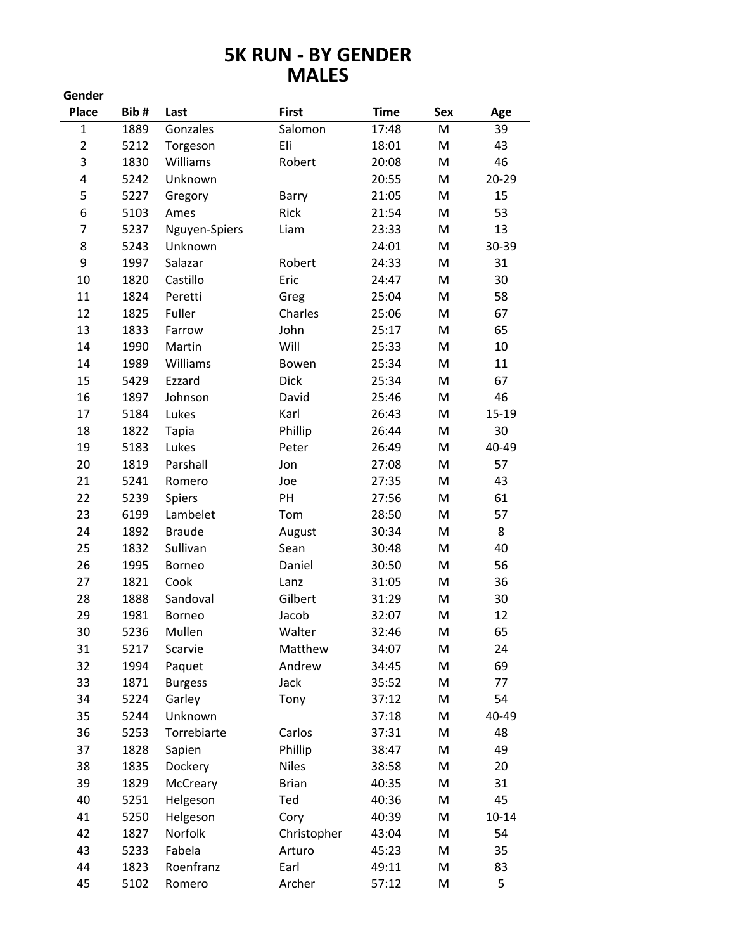## **5K RUN - BY GENDER MALES**

| Gender         |      |                |              |             |            |           |
|----------------|------|----------------|--------------|-------------|------------|-----------|
| <b>Place</b>   | Bib# | Last           | <b>First</b> | <b>Time</b> | <b>Sex</b> | Age       |
| $\mathbf{1}$   | 1889 | Gonzales       | Salomon      | 17:48       | M          | 39        |
| $\overline{2}$ | 5212 | Torgeson       | Eli          | 18:01       | M          | 43        |
| 3              | 1830 | Williams       | Robert       | 20:08       | M          | 46        |
| 4              | 5242 | Unknown        |              | 20:55       | M          | 20-29     |
| 5              | 5227 | Gregory        | Barry        | 21:05       | M          | 15        |
| 6              | 5103 | Ames           | Rick         | 21:54       | M          | 53        |
| 7              | 5237 | Nguyen-Spiers  | Liam         | 23:33       | M          | 13        |
| 8              | 5243 | Unknown        |              | 24:01       | M          | 30-39     |
| 9              | 1997 | Salazar        | Robert       | 24:33       | M          | 31        |
| 10             | 1820 | Castillo       | Eric         | 24:47       | M          | 30        |
| 11             | 1824 | Peretti        | Greg         | 25:04       | M          | 58        |
| 12             | 1825 | Fuller         | Charles      | 25:06       | M          | 67        |
| 13             | 1833 | Farrow         | John         | 25:17       | M          | 65        |
| 14             | 1990 | Martin         | Will         | 25:33       | M          | 10        |
| 14             | 1989 | Williams       | Bowen        | 25:34       | M          | 11        |
| 15             | 5429 | Ezzard         | Dick         | 25:34       | M          | 67        |
| 16             | 1897 | Johnson        | David        | 25:46       | M          | 46        |
| 17             | 5184 | Lukes          | Karl         | 26:43       | M          | 15-19     |
| 18             | 1822 | <b>Tapia</b>   | Phillip      | 26:44       | M          | 30        |
| 19             | 5183 | Lukes          | Peter        | 26:49       | M          | 40-49     |
| 20             | 1819 | Parshall       | Jon          | 27:08       | M          | 57        |
| 21             | 5241 | Romero         | Joe          | 27:35       | M          | 43        |
| 22             | 5239 | Spiers         | PH           | 27:56       | M          | 61        |
| 23             | 6199 | Lambelet       | Tom          | 28:50       | M          | 57        |
| 24             | 1892 | <b>Braude</b>  | August       | 30:34       | M          | 8         |
| 25             | 1832 | Sullivan       | Sean         | 30:48       | M          | 40        |
| 26             | 1995 | <b>Borneo</b>  | Daniel       | 30:50       | M          | 56        |
| 27             | 1821 | Cook           | Lanz         | 31:05       | M          | 36        |
| 28             | 1888 | Sandoval       | Gilbert      | 31:29       | M          | 30        |
| 29             | 1981 | <b>Borneo</b>  | Jacob        | 32:07       | M          | 12        |
| 30             | 5236 | Mullen         | Walter       | 32:46       | M          | 65        |
| 31             | 5217 | Scarvie        | Matthew      | 34:07       | M          | 24        |
| 32             | 1994 | Paquet         | Andrew       | 34:45       | M          | 69        |
| 33             | 1871 | <b>Burgess</b> | Jack         | 35:52       | M          | 77        |
| 34             | 5224 | Garley         | Tony         | 37:12       | M          | 54        |
| 35             | 5244 | Unknown        |              | 37:18       | M          | 40-49     |
| 36             | 5253 | Torrebiarte    | Carlos       | 37:31       | M          | 48        |
| 37             | 1828 | Sapien         | Phillip      | 38:47       | M          | 49        |
| 38             | 1835 | Dockery        | <b>Niles</b> | 38:58       | M          | 20        |
| 39             | 1829 | McCreary       | <b>Brian</b> | 40:35       | M          | 31        |
| 40             | 5251 | Helgeson       | Ted          | 40:36       | M          | 45        |
| 41             | 5250 | Helgeson       | Cory         | 40:39       | M          | $10 - 14$ |
| 42             | 1827 | Norfolk        | Christopher  | 43:04       | M          | 54        |
| 43             | 5233 | Fabela         | Arturo       | 45:23       | M          | 35        |
| 44             | 1823 | Roenfranz      | Earl         | 49:11       | M          | 83        |
| 45             | 5102 | Romero         | Archer       | 57:12       | M          | 5         |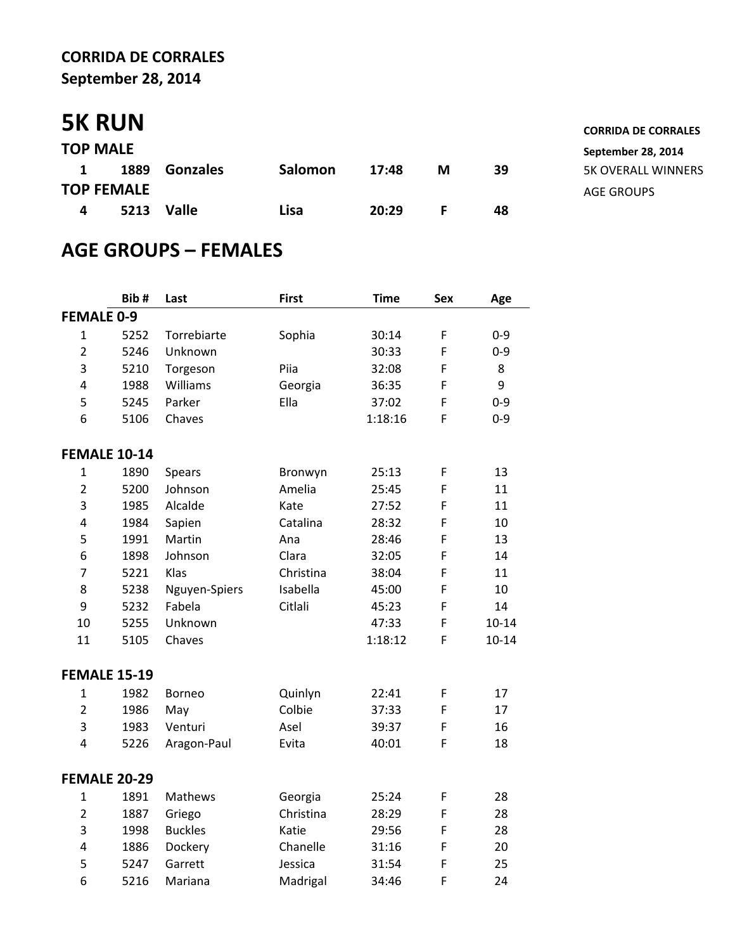## **CORRIDA DE CORRALES September 28, 2014**

# **5K RUN CORRIDA DE CORRIDA DE CORRIDA DE CORRIDA DE CORRALES**

| <b>TOP MALE</b> |                   |               |                |       |   |    |
|-----------------|-------------------|---------------|----------------|-------|---|----|
| $\mathbf{1}$    |                   | 1889 Gonzales | <b>Salomon</b> | 17:48 | м | 39 |
|                 | <b>TOP FEMALE</b> |               |                |       |   |    |
| 4               |                   | 5213 Valle    | Lisa           | 20:29 |   | 48 |

# **AGE GROUPS – FEMALES**

|                   | Bib#                | Last           | <b>First</b> | <b>Time</b> | <b>Sex</b> | Age       |
|-------------------|---------------------|----------------|--------------|-------------|------------|-----------|
| <b>FEMALE 0-9</b> |                     |                |              |             |            |           |
| $\mathbf{1}$      | 5252                | Torrebiarte    | Sophia       | 30:14       | F          | $0 - 9$   |
| $\overline{2}$    | 5246                | Unknown        |              | 30:33       | F          | $0 - 9$   |
| 3                 | 5210                | Torgeson       | Piia         | 32:08       | F          | 8         |
| 4                 | 1988                | Williams       | Georgia      | 36:35       | F          | 9         |
| 5                 | 5245                | Parker         | Ella         | 37:02       | F          | $0 - 9$   |
| 6                 | 5106                | Chaves         |              | 1:18:16     | F          | $0 - 9$   |
|                   | <b>FEMALE 10-14</b> |                |              |             |            |           |
| $\mathbf{1}$      | 1890                | Spears         | Bronwyn      | 25:13       | F          | 13        |
| $\overline{2}$    | 5200                | Johnson        | Amelia       | 25:45       | F          | 11        |
| 3                 | 1985                | Alcalde        | Kate         | 27:52       | F          | 11        |
| 4                 | 1984                | Sapien         | Catalina     | 28:32       | F          | 10        |
| 5                 | 1991                | Martin         | Ana          | 28:46       | F          | 13        |
| 6                 | 1898                | Johnson        | Clara        | 32:05       | F          | 14        |
| $\overline{7}$    | 5221                | Klas           | Christina    | 38:04       | F          | 11        |
| 8                 | 5238                | Nguyen-Spiers  | Isabella     | 45:00       | F          | 10        |
| 9                 | 5232                | Fabela         | Citlali      | 45:23       | F          | 14        |
| 10                | 5255                | Unknown        |              | 47:33       | F          | $10 - 14$ |
| 11                | 5105                | Chaves         |              | 1:18:12     | F          | $10 - 14$ |
|                   | <b>FEMALE 15-19</b> |                |              |             |            |           |
| $\mathbf{1}$      | 1982                | <b>Borneo</b>  | Quinlyn      | 22:41       | F          | 17        |
| $\overline{2}$    | 1986                | May            | Colbie       | 37:33       | F          | 17        |
| 3                 | 1983                | Venturi        | Asel         | 39:37       | F          | 16        |
| 4                 | 5226                | Aragon-Paul    | Evita        | 40:01       | F          | 18        |
|                   | <b>FEMALE 20-29</b> |                |              |             |            |           |
| 1                 | 1891                | Mathews        | Georgia      | 25:24       | F          | 28        |
| $\overline{2}$    | 1887                | Griego         | Christina    | 28:29       | F          | 28        |
| 3                 | 1998                | <b>Buckles</b> | Katie        | 29:56       | F          | 28        |
| 4                 | 1886                | Dockery        | Chanelle     | 31:16       | F          | 20        |
| 5                 | 5247                | Garrett        | Jessica      | 31:54       | F          | 25        |
| 6                 | 5216                | Mariana        | Madrigal     | 34:46       | F          | 24        |

**TOP MALE September 28, 2014 1 1889 Gonzales 17:48 M 39** 5K OVERALL WINNERS **AGE GROUPS**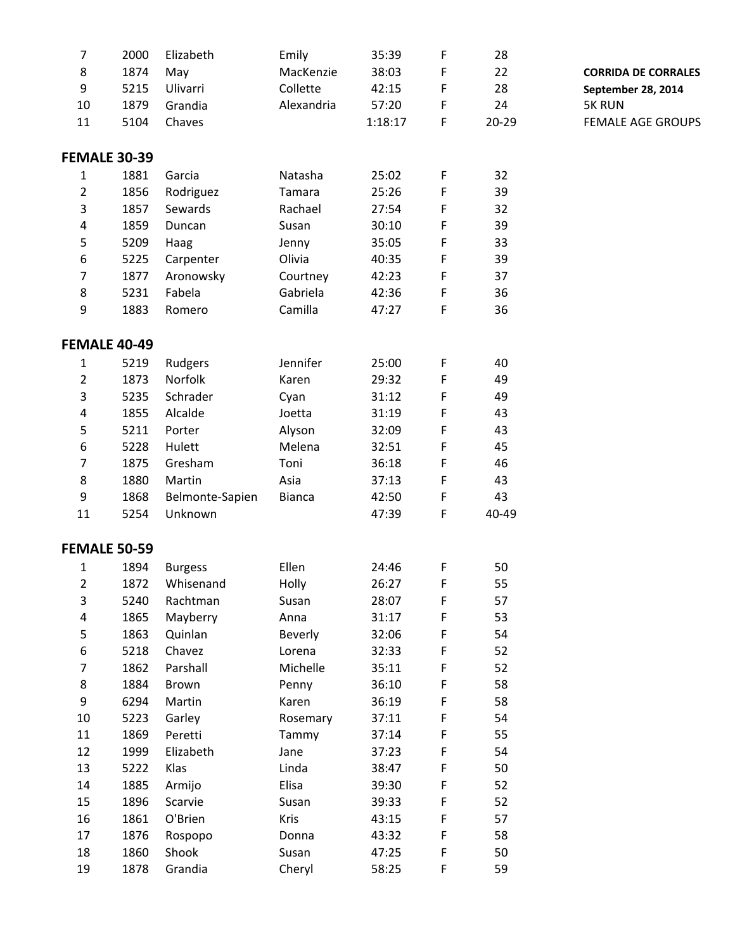| $\overline{7}$   | 2000                | Elizabeth       | Emily      | 35:39   | F | 28    |                            |
|------------------|---------------------|-----------------|------------|---------|---|-------|----------------------------|
| 8                | 1874                | May             | MacKenzie  | 38:03   | F | 22    | <b>CORRIDA DE CORRALES</b> |
| $\boldsymbol{9}$ | 5215                | Ulivarri        | Collette   | 42:15   | F | 28    | September 28, 2014         |
| $10\,$           | 1879                | Grandia         | Alexandria | 57:20   | F | 24    | <b>5K RUN</b>              |
| 11               | 5104                | Chaves          |            | 1:18:17 | F | 20-29 | <b>FEMALE AGE GROUPS</b>   |
|                  |                     |                 |            |         |   |       |                            |
|                  | <b>FEMALE 30-39</b> |                 |            |         |   |       |                            |
| $\mathbf{1}$     | 1881                | Garcia          | Natasha    | 25:02   | F | 32    |                            |
| $\overline{2}$   | 1856                | Rodriguez       | Tamara     | 25:26   | F | 39    |                            |
| 3                | 1857                | Sewards         | Rachael    | 27:54   | F | 32    |                            |
| $\pmb{4}$        | 1859                | Duncan          | Susan      | 30:10   | F | 39    |                            |
| $\overline{5}$   | 5209                | Haag            | Jenny      | 35:05   | F | 33    |                            |
| $\boldsymbol{6}$ | 5225                | Carpenter       | Olivia     | 40:35   | F | 39    |                            |
| $\overline{7}$   | 1877                | Aronowsky       | Courtney   | 42:23   | F | 37    |                            |
| $\,8\,$          | 5231                | Fabela          | Gabriela   | 42:36   | F | 36    |                            |
| $\boldsymbol{9}$ | 1883                | Romero          | Camilla    | 47:27   | F | 36    |                            |
|                  |                     |                 |            |         |   |       |                            |
|                  | <b>FEMALE 40-49</b> |                 |            |         |   |       |                            |
| $\mathbf{1}$     | 5219                | Rudgers         | Jennifer   | 25:00   | F | 40    |                            |
| $\overline{2}$   | 1873                | Norfolk         | Karen      | 29:32   | F | 49    |                            |
| 3                | 5235                | Schrader        | Cyan       | 31:12   | F | 49    |                            |
| $\pmb{4}$        | 1855                | Alcalde         | Joetta     | 31:19   | F | 43    |                            |
| 5                | 5211                | Porter          | Alyson     | 32:09   | F | 43    |                            |
| $\boldsymbol{6}$ | 5228                | Hulett          | Melena     | 32:51   | F | 45    |                            |
| $\overline{7}$   | 1875                | Gresham         | Toni       | 36:18   | F | 46    |                            |
| $\,8\,$          | 1880                | Martin          | Asia       | 37:13   | F | 43    |                            |
| $\boldsymbol{9}$ | 1868                | Belmonte-Sapien | Bianca     | 42:50   | F | 43    |                            |
| 11               | 5254                | Unknown         |            | 47:39   | F | 40-49 |                            |
|                  |                     |                 |            |         |   |       |                            |
|                  | <b>FEMALE 50-59</b> |                 |            |         |   |       |                            |
| 1                | 1894                | <b>Burgess</b>  | Ellen      | 24:46   | F | 50    |                            |
| $\overline{2}$   | 1872                | Whisenand       | Holly      | 26:27   | F | 55    |                            |
| 3                | 5240                | Rachtman        | Susan      | 28:07   | F | 57    |                            |
| 4                | 1865                | Mayberry        | Anna       | 31:17   | F | 53    |                            |
| 5                | 1863                | Quinlan         | Beverly    | 32:06   | F | 54    |                            |
| 6                | 5218                | Chavez          | Lorena     | 32:33   | F | 52    |                            |
| 7                | 1862                | Parshall        | Michelle   | 35:11   | F | 52    |                            |
| 8                | 1884                | Brown           | Penny      | 36:10   | F | 58    |                            |
| 9                | 6294                | Martin          | Karen      | 36:19   | F | 58    |                            |
| 10               | 5223                | Garley          | Rosemary   | 37:11   | F | 54    |                            |
| 11               | 1869                | Peretti         | Tammy      | 37:14   | F | 55    |                            |
| 12               | 1999                | Elizabeth       | Jane       | 37:23   | F | 54    |                            |
| 13               | 5222                | Klas            | Linda      | 38:47   | F | 50    |                            |
| 14               | 1885                | Armijo          | Elisa      | 39:30   | F | 52    |                            |
| 15               | 1896                | Scarvie         | Susan      | 39:33   | F | 52    |                            |
| 16               | 1861                | O'Brien         | Kris       | 43:15   | F | 57    |                            |
| 17               | 1876                | Rospopo         | Donna      | 43:32   | F | 58    |                            |
| 18               | 1860                | Shook           | Susan      | 47:25   | F | 50    |                            |
| 19               | 1878                | Grandia         | Cheryl     | 58:25   | F | 59    |                            |
|                  |                     |                 |            |         |   |       |                            |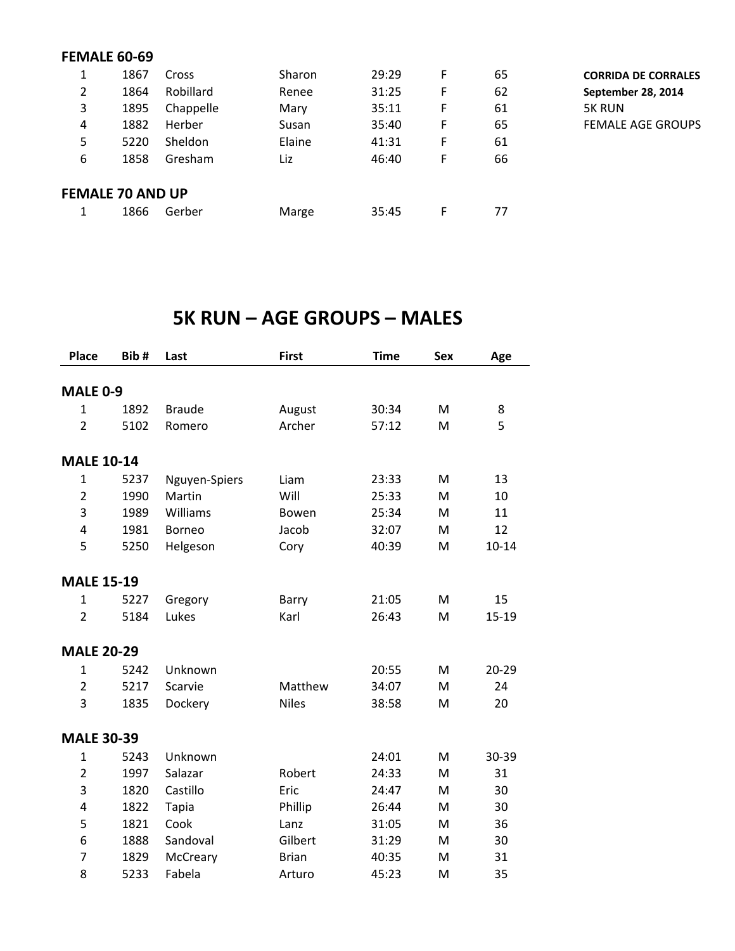## **FEMALE 60-69**

| 1<br>Ŧ. | 1867                    | Cross          | Sharon | 29:29 | F | 65 | <b>CORRIDA DE CORRALES</b> |
|---------|-------------------------|----------------|--------|-------|---|----|----------------------------|
| 2       | 1864                    | Robillard      | Renee  | 31:25 | F | 62 | September 28, 2014         |
| 3       | 1895                    | Chappelle      | Mary   | 35:11 | F | 61 | <b>5K RUN</b>              |
| 4       | 1882                    | Herber         | Susan  | 35:40 | F | 65 | <b>FEMALE AGE GROUPS</b>   |
| 5       | 5220                    | <b>Sheldon</b> | Elaine | 41:31 | F | 61 |                            |
| 6       | 1858                    | Gresham        | Liz    | 46:40 | F | 66 |                            |
|         | <b>FEMALE 70 AND UP</b> |                |        |       |   |    |                            |
|         | 1866                    | Gerber         | Marge  | 35:45 | F | 77 |                            |

## **5K RUN – AGE GROUPS – MALES**

| <b>Place</b>      | Bib# | Last          | <b>First</b> | <b>Time</b> | <b>Sex</b> | Age       |
|-------------------|------|---------------|--------------|-------------|------------|-----------|
|                   |      |               |              |             |            |           |
| <b>MALE 0-9</b>   |      |               |              |             |            |           |
| $\mathbf{1}$      | 1892 | <b>Braude</b> | August       | 30:34       | M          | 8         |
| $\overline{2}$    | 5102 | Romero        | Archer       | 57:12       | M          | 5         |
| <b>MALE 10-14</b> |      |               |              |             |            |           |
| $\mathbf{1}$      | 5237 | Nguyen-Spiers | Liam         | 23:33       | M          | 13        |
| $\overline{2}$    | 1990 | Martin        | Will         | 25:33       | M          | 10        |
| 3                 | 1989 | Williams      | Bowen        | 25:34       | M          | 11        |
| 4                 | 1981 | <b>Borneo</b> | Jacob        | 32:07       | M          | 12        |
| 5                 | 5250 | Helgeson      | Cory         | 40:39       | M          | $10 - 14$ |
| <b>MALE 15-19</b> |      |               |              |             |            |           |
| $\mathbf{1}$      | 5227 | Gregory       | Barry        | 21:05       | M          | 15        |
| $\overline{2}$    | 5184 | Lukes         | Karl         | 26:43       | M          | 15-19     |
| <b>MALE 20-29</b> |      |               |              |             |            |           |
| $\mathbf 1$       | 5242 | Unknown       |              | 20:55       | м          | 20-29     |
| $\overline{2}$    | 5217 | Scarvie       | Matthew      | 34:07       | M          | 24        |
| 3                 | 1835 | Dockery       | <b>Niles</b> | 38:58       | M          | 20        |
| <b>MALE 30-39</b> |      |               |              |             |            |           |
| $\mathbf{1}$      | 5243 | Unknown       |              | 24:01       | M          | 30-39     |
| $\overline{2}$    | 1997 | Salazar       | Robert       | 24:33       | M          | 31        |
| 3                 | 1820 | Castillo      | Eric         | 24:47       | M          | 30        |
| 4                 | 1822 | <b>Tapia</b>  | Phillip      | 26:44       | M          | 30        |
| 5                 | 1821 | Cook          | Lanz         | 31:05       | М          | 36        |
| 6                 | 1888 | Sandoval      | Gilbert      | 31:29       | М          | 30        |
| $\overline{7}$    | 1829 | McCreary      | <b>Brian</b> | 40:35       | M          | 31        |
| 8                 | 5233 | Fabela        | Arturo       | 45:23       | M          | 35        |